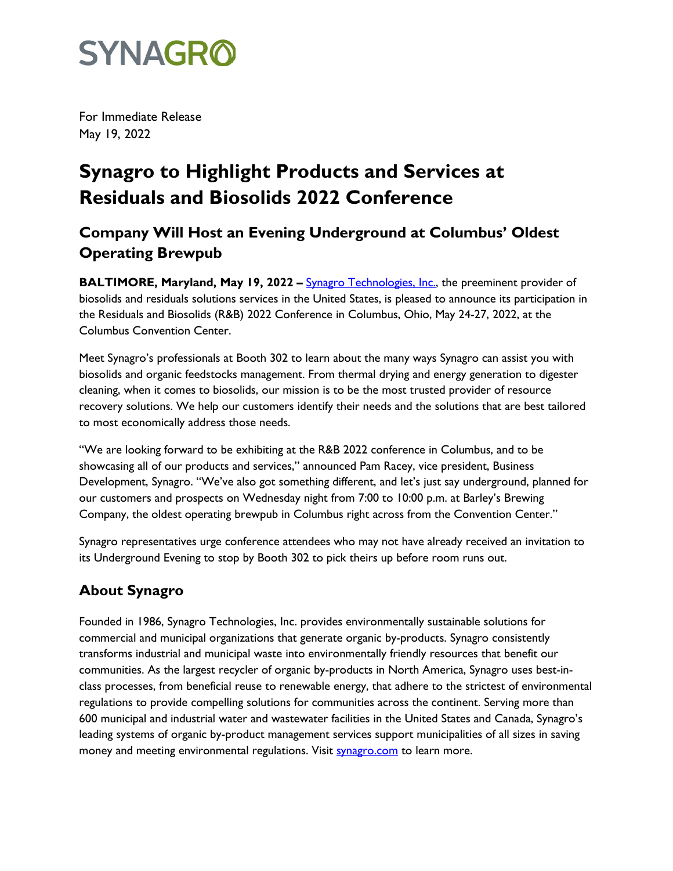## **SYNAGRO**

For Immediate Release May 19, 2022

### **Synagro to Highlight Products and Services at Residuals and Biosolids 2022 Conference**

### **Company Will Host an Evening Underground at Columbus' Oldest Operating Brewpub**

**BALTIMORE, Maryland, May 19, 2022 –** [Synagro Technolog](http://www.synagro.com/)ies, Inc., the preeminent provider of biosolids and residuals solutions services in the United States, is pleased to announce its participation in the Residuals and Biosolids (R&B) 2022 Conference in Columbus, Ohio, May 24-27, 2022, at the Columbus Convention Center.

Meet Synagro's professionals at Booth 302 to learn about the many ways Synagro can assist you with biosolids and organic feedstocks management. From thermal drying and energy generation to digester cleaning, when it comes to biosolids, our mission is to be the most trusted provider of resource recovery solutions. We help our customers identify their needs and the solutions that are best tailored to most economically address those needs.

"We are looking forward to be exhibiting at the R&B 2022 conference in Columbus, and to be showcasing all of our products and services," announced Pam Racey, vice president, Business Development, Synagro. "We've also got something different, and let's just say underground, planned for our customers and prospects on Wednesday night from 7:00 to 10:00 p.m. at Barley's Brewing Company, the oldest operating brewpub in Columbus right across from the Convention Center."

Synagro representatives urge conference attendees who may not have already received an invitation to its Underground Evening to stop by Booth 302 to pick theirs up before room runs out.

#### **About Synagro**

Founded in 1986, Synagro Technologies, Inc. provides environmentally sustainable solutions for commercial and municipal organizations that generate organic by-products. Synagro consistently transforms industrial and municipal waste into environmentally friendly resources that benefit our communities. As the largest recycler of organic by-products in North America, Synagro uses best-inclass processes, from beneficial reuse to renewable energy, that adhere to the strictest of environmental regulations to provide compelling solutions for communities across the continent. Serving more than 600 municipal and industrial water and wastewater facilities in the United States and Canada, Synagro's leading systems of organic by-product management services support municipalities of all sizes in saving money and meeting environmental regulations. Visit [synagro.com](http://www.synagro.com/) to learn more.